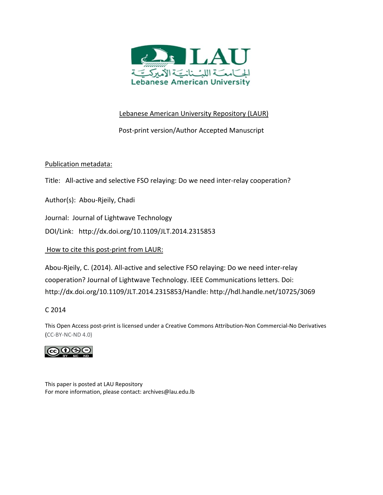

# Lebanese American University Repository (LAUR)

Post‐print version/Author Accepted Manuscript

# Publication metadata:

Title: All-active and selective FSO relaying: Do we need inter-relay cooperation?

Author(s): Abou‐Rjeily, Chadi

Journal: Journal of Lightwave Technology

DOI/Link: http://dx.doi.org/10.1109/JLT.2014.2315853

# How to cite this post‐print from LAUR:

Abou‐Rjeily, C. (2014). All‐active and selective FSO relaying: Do we need inter‐relay cooperation? Journal of Lightwave Technology. IEEE Communications letters. Doi: http://dx.doi.org/10.1109/JLT.2014.2315853/Handle: http://hdl.handle.net/10725/3069

# C 2014

This Open Access post‐print is licensed under a Creative Commons Attribution‐Non Commercial‐No Derivatives (CC‐BY‐NC‐ND 4.0)



This paper is posted at LAU Repository For more information, please contact: archives@lau.edu.lb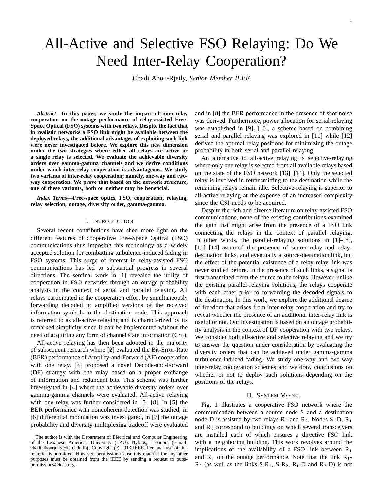# All-Active and Selective FSO Relaying: Do We Need Inter-Relay Cooperation?

Chadi Abou-Rjeily, *Senior Member IEEE*

*Abstract***—In this paper, we study the impact of inter-relay cooperation on the outage performance of relay-assisted Free-Space Optical (FSO) systems with two relays. Despite the fact that in realistic networks a FSO link might be available between the deployed relays, the additional advantages of exploiting such link were never investigated before. We explore this new dimension under the two strategies where either all relays are active or a single relay is selected. We evaluate the achievable diversity orders over gamma-gamma channels and we derive conditions under which inter-relay cooperation is advantageous. We study two variants of inter-relay cooperation; namely, one-way and twoway cooperation. We prove that based on the network structure, one of these variants, both or neither may be beneficial.**

*Index Terms***—Free-space optics, FSO, cooperation, relaying, relay selection, outage, diversity order, gamma-gamma.**

# I. INTRODUCTION

Several recent contributions have shed more light on the different features of cooperative Free-Space Optical (FSO) communications thus imposing this technology as a widely accepted solution for combatting turbulence-induced fading in FSO systems. This surge of interest in relay-assisted FSO communications has led to substantial progress in several directions. The seminal work in [1] revealed the utility of cooperation in FSO networks through an outage probability analysis in the context of serial and parallel relaying. All relays participated in the cooperation effort by simultaneously forwarding decoded or amplified versions of the received information symbols to the destination node. This approach is referred to as all-active relaying and is characterized by its remarked simplicity since it can be implemented without the need of acquiring any form of channel state information (CSI).

All-active relaying has then been adopted in the majority of subsequent research where [2] evaluated the Bit-Error-Rate (BER) performance of Amplify-and-Forward (AF) cooperation with one relay. [3] proposed a novel Decode-and-Forward (DF) strategy with one relay based on a proper exchange of information and redundant bits. This scheme was further investigated in [4] where the achievable diversity orders over gamma-gamma channels were evaluated. All-active relaying with one relay was further considered in [5]–[8]. In [5] the BER performance with noncoherent detection was studied, in [6] differential modulation was investigated, in [7] the outage probability and diversity-multiplexing tradeoff were evaluated

and in [8] the BER performance in the presence of shot noise was derived. Furthermore, power allocation for serial-relaying was established in [9], [10], a scheme based on combining serial and parallel relaying was explored in [11] while [12] derived the optimal relay positions for minimizing the outage probability in both serial and parallel relaying.

An alternative to all-active relaying is selective-relaying where only one relay is selected from all available relays based on the state of the FSO network [13], [14]. Only the selected relay is involved in retransmitting to the destination while the remaining relays remain idle. Selective-relaying is superior to all-active relaying at the expense of an increased complexity since the CSI needs to be acquired.

Despite the rich and diverse literature on relay-assisted FSO communications, none of the existing contributions examined the gain that might arise from the presence of a FSO link connecting the relays in the context of parallel relaying. In other words, the parallel-relaying solutions in [1]–[8], [11]–[14] assumed the presence of source-relay and relaydestination links, and eventually a source-destination link, but the effect of the potential existence of a relay-relay link was never studied before. In the presence of such links, a signal is first transmitted from the source to the relays. However, unlike the existing parallel-relaying solutions, the relays cooperate with each other prior to forwarding the decoded signals to the destination. In this work, we explore the additional degree of freedom that arises from inter-relay cooperation and try to reveal whether the presence of an additional inter-relay link is useful or not. Our investigation is based on an outage probability analysis in the context of DF cooperation with two relays. We consider both all-active and selective relaying and we try to answer the question under consideration by evaluating the diversity orders that can be achieved under gamma-gamma turbulence-induced fading. We study one-way and two-way inter-relay cooperation schemes and we draw conclusions on whether or not to deploy such solutions depending on the positions of the relays.

#### II. SYSTEM MODEL

Fig. 1 illustrates a cooperative FSO network where the communication between a source node S and a destination node D is assisted by two relays  $R_1$  and  $R_2$ . Nodes S, D,  $R_1$ and  $R_2$  correspond to buildings on which several transceivers are installed each of which ensures a directive FSO link with a neighboring building. This work revolves around the implications of the availability of a FSO link between  $R_1$ and  $R_2$  on the outage performance. Note that the link  $R_1$ - $R_2$  (as well as the links S-R<sub>1</sub>, S-R<sub>2</sub>, R<sub>1</sub>-D and R<sub>2</sub>-D) is not

The author is with the Department of Electrical and Computer Engineering of the Lebanese American University (LAU), Byblos, Lebanon. (e-mail: chadi.abourjeily@lau.edu.lb). Copyright (c) 2013 IEEE. Personal use of this material is permitted. However, permission to use this material for any other purposes must be obtained from the IEEE by sending a request to pubspermissions@ieee.org.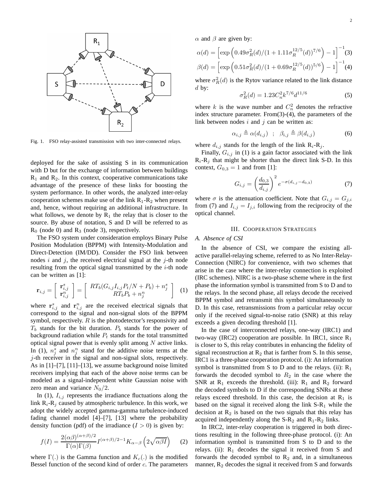

Fig. 1. FSO relay-assisted transmission with two inter-connected relays.

deployed for the sake of assisting S in its communication with D but for the exchange of information between buildings  $R_1$  and  $R_2$ . In this context, cooperative communications take advantage of the presence of these links for boosting the system performance. In other words, the analyzed inter-relay cooperation schemes make use of the link  $R_1-R_2$  when present and, hence, without requiring an additional infrastructure. In what follows, we denote by  $R_1$  the relay that is closer to the source. By abuse of notation, S and D will be referred to as  $R_0$  (node 0) and  $R_3$  (node 3), respectively.

The FSO system under consideration employs Binary Pulse Position Modulation (BPPM) with Intensity-Modulation and Direct-Detection (IM/DD). Consider the FSO link between nodes  $i$  and  $j$ , the received electrical signal at the  $j$ -th node resulting from the optical signal transmitted by the  $i$ -th node can be written as [1]:

$$
\mathbf{r}_{i,j} = \left[ \begin{array}{c} \mathbf{r}_{i,j}^s \\ \mathbf{r}_{i,j}^n \end{array} \right] = \left[ \begin{array}{c} RT_b(G_{i,j}I_{i,j}P_t/N + P_b) + n_j^s \\ RT_bP_b + n_j^n \end{array} \right] \tag{1}
$$

where  $\mathbf{r}_{i,j}^s$  and  $\mathbf{r}_{i,j}^n$  are the received electrical signals that correspond to the signal and non-signal slots of the BPPM symbol, respectively.  $R$  is the photodetector's responsivity and  $T_b$  stands for the bit duration.  $P_b$  stands for the power of background radiation while  $P_t$  stands for the total transmitted optical signal power that is evenly split among  $N$  active links. In (1),  $n_j^s$  and  $n_j^n$  stand for the additive noise terms at the j-th receiver in the signal and non-signal slots, respectively. As in [1]–[7], [11]–[13], we assume background noise limited receivers implying that each of the above noise terms can be modeled as a signal-independent white Gaussian noise with zero mean and variance  $N_0/2$ .

In (1),  $I_{i,j}$  represents the irradiance fluctuations along the link  $R_i-R_j$  caused by atmospheric turbulence. In this work, we adopt the widely accepted gamma-gamma turbulence-induced fading channel model [4]–[7], [13] where the probability density function (pdf) of the irradiance  $(I > 0)$  is given by:

$$
f(I) = \frac{2(\alpha\beta)^{(\alpha+\beta)/2}}{\Gamma(\alpha)\Gamma(\beta)} I^{(\alpha+\beta)/2-1} K_{\alpha-\beta} \left(2\sqrt{\alpha\beta I}\right)
$$
 (2)

where  $\Gamma(.)$  is the Gamma function and  $K_c(.)$  is the modified Bessel function of the second kind of order  $c$ . The parameters  $\alpha$  and  $\beta$  are given by:

$$
\alpha(d) = \left[ \exp\left(0.49\sigma_R^2(d)/(1+1.11\sigma_R^{12/5}(d))^{7/6}\right) - 1 \right]^{-1}(3)
$$

$$
\beta(d) = \left[ \exp\left(0.51\sigma_R^2(d)/(1+0.69\sigma_R^{12/5}(d))^{5/6}\right) - 1 \right]^{-1}(4)
$$

where  $\sigma_R^2(d)$  is the Rytov variance related to the link distance  $d$  by:

$$
\sigma_R^2(d) = 1.23 C_n^2 k^{7/6} d^{11/6} \tag{5}
$$

where k is the wave number and  $C_n^2$  denotes the refractive index structure parameter. From(3)-(4), the parameters of the link between nodes  $i$  and  $j$  can be written as:

$$
\alpha_{i,j} \triangleq \alpha(d_{i,j}) \quad ; \quad \beta_{i,j} \triangleq \beta(d_{i,j}) \tag{6}
$$

where  $d_{i,j}$  stands for the length of the link  $R_i-R_j$ .

Finally,  $G_{i,j}$  in (1) is a gain factor associated with the link  $R_i-R_j$  that might be shorter than the direct link S-D. In this context,  $G_{0,3} = 1$  and from [1]:

$$
G_{i,j} = \left(\frac{d_{0,3}}{d_{i,j}}\right)^2 e^{-\sigma(d_{i,j} - d_{0,3})}
$$
(7)

where  $\sigma$  is the attenuation coefficient. Note that  $G_{i,j} = G_{j,i}$ from (7) and  $I_{i,j} = I_{j,i}$  following from the reciprocity of the optical channel.

#### III. COOPERATION STRATEGIES

## *A. Absence of CSI*

In the absence of CSI, we compare the existing allactive parallel-relaying scheme, referred to as No Inter-Relay-Connection (NIRC) for convenience, with two schemes that arise in the case where the inter-relay connection is exploited (IRC schemes). NIRC is a two-phase scheme where in the first phase the information symbol is transmitted from S to D and to the relays. In the second phase, all relays decode the received BPPM symbol and retransmit this symbol simultaneously to D. In this case, retransmissions from a particular relay occur only if the received signal-to-noise ratio (SNR) at this relay exceeds a given decoding threshold [1].

In the case of interconnected relays, one-way (IRC1) and two-way (IRC2) cooperation are possible. In IRC1, since  $R_1$ is closer to S, this relay contributes in enhancing the fidelity of signal reconstruction at  $R_2$  that is farther from S. In this sense, IRC1 is a three-phase cooperation protocol. (i): An information symbol is transmitted from S to D and to the relays. (ii):  $R_1$ forwards the decoded symbol to  $R_2$  in the case where the SNR at  $R_1$  exceeds the threshold. (iii):  $R_1$  and  $R_2$  forward the decoded symbols to D if the corresponding SNRs at these relays exceed threshold. In this case, the decision at  $R_1$  is based on the signal it received along the link  $S-R_1$  while the decision at  $R_2$  is based on the two signals that this relay has acquired independently along the  $S-R_2$  and  $R_1-R_2$  links.

In IRC2, inter-relay cooperation is triggered in both directions resulting in the following three-phase protocol. (i): An information symbol is transmitted from S to D and to the relays. (ii):  $R_1$  decodes the signal it received from S and forwards the decoded symbol to  $R_2$  and, in a simultaneous manner,  $R_2$  decodes the signal it received from S and forwards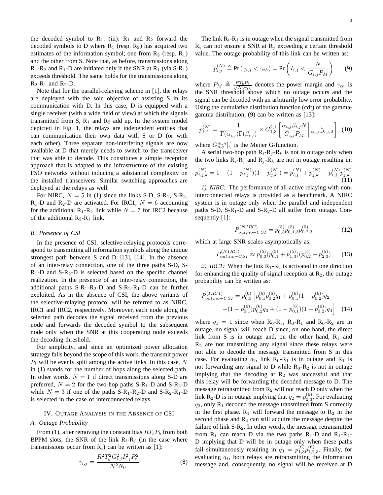the decoded symbol to  $R_1$ . (iii):  $R_1$  and  $R_2$  forward the decoded symbols to D where  $R_1$  (resp.  $R_2$ ) has acquired two estimates of the information symbol; one from  $R_2$  (resp.  $R_1$ ) and the other from S. Note that, as before, transmissions along  $R_1-R_2$  and  $R_1-D$  are initiated only if the SNR at  $R_1$  (via S-R<sub>1</sub>) exceeds threshold. The same holds for the transmissions along  $R_2-R_1$  and  $R_2-D$ .

Note that for the parallel-relaying scheme in [1], the relays are deployed with the sole objective of assisting S in its communication with D. In this case, D is equipped with a single receiver (with a wide field of view) at which the signals transmitted from S,  $R_1$  and  $R_2$  add up. In the system model depicted in Fig. 1, the relays are independent entities that can communication their own data with S or D (or with each other). Three separate non-interfering signals are now available at D that merely needs to switch to the transceiver that was able to decode. This constitutes a simple reception approach that is adapted to the infrastructure of the existing FSO networks without inducing a substantial complexity on the installed transceivers. Similar switching approaches are deployed at the relays as well.

For NIRC,  $N = 5$  in (1) since the links S-D, S-R<sub>1</sub>, S-R<sub>2</sub>,  $R_1$ -D and  $R_2$ -D are activated. For IRC1,  $N = 6$  accounting for the additional  $R_1-R_2$  link while  $N = 7$  for IRC2 because of the additional  $R_2-R_1$  link.

## *B. Presence of CSI*

In the presence of CSI, selective-relaying protocols correspond to transmitting all information symbols along the unique strongest path between S and D [13], [14]. In the absence of an inter-relay connection, one of the three paths S-D, S- $R_1$ -D and S- $R_2$ -D is selected based on the specific channel realization. In the presence of an inter-relay connection, the additional paths  $S-R_1-R_2-D$  and  $S-R_2-R_1-D$  can be further exploited. As in the absence of CSI, the above variants of the selective-relaying protocol will be referred to as NIRC, IRC1 and IRC2, respectively. Moreover, each node along the selected path decodes the signal received from the previous node and forwards the decoded symbol to the subsequent node only when the SNR at this cooperating node exceeds the decoding threshold.

For simplicity, and since an optimized power allocation strategy falls beyond the scope of this work, the transmit power  $P_t$  will be evenly split among the active links. In this case, N in (1) stands for the number of hops along the selected path. In other words,  $N = 1$  if direct transmissions along S-D are preferred,  $N = 2$  for the two-hop paths S-R<sub>1</sub>-D and S-R<sub>2</sub>-D while  $N = 3$  if one of the paths S-R<sub>1</sub>-R<sub>2</sub>-D and S-R<sub>2</sub>-R<sub>1</sub>-D is selected in the case of interconnected relays.

#### IV. OUTAGE ANALYSIS IN THE ABSENCE OF CSI

# *A. Outage Probability*

From (1), after removing the constant bias  $RT_bP_b$  from both BPPM slots, the SNR of the link  $R_i-R_j$  (in the case where transmissions occur from  $R_i$ ) can be written as [1]:

$$
\gamma_{i,j} = \frac{R^2 T_b^2 G_{i,j}^2 I_{i,j}^2 P_t^2}{N^2 N_0} \tag{8}
$$

The link  $R_i-R_j$  is in outage when the signal transmitted from  $R_i$  can not ensure a SNR at  $R_i$  exceeding a certain threshold value. The outage probability of this link can be written as:

$$
p_{i,j}^{(N)} \triangleq \Pr\left(\gamma_{i,j} < \gamma_{th}\right) = \Pr\left(I_{i,j} < \frac{N}{G_{i,j}P_M}\right) \tag{9}
$$

where  $P_M \triangleq \frac{RT_bP_t}{\sqrt{N_0\gamma_t}}$  $\frac{\partial T_b P_t}{\partial \rho \gamma_{th}}$  denotes the power margin and  $\gamma_{th}$  is the SNR threshold above which no outage occurs and the signal can be decoded with an arbitrarily low error probability. Using the cumulative distribution function (cdf) of the gammagamma distribution, (9) can be written as [13]:

$$
p_{i,j}^{(N)} = \frac{1}{\Gamma(\alpha_{i,j})\Gamma(\beta_{i,j})} \times G_{1,3}^{2,1} \left[ \frac{\alpha_{i,j}\beta_{i,j}N}{G_{i,j}P_M} \middle| \begin{array}{c} 1 \\ \alpha_{i,j}, \beta_{i,j}, 0 \end{array} \right] (10)
$$

where  $G_{p,q}^{m,n}$ [.] is the Meijer G-function.

A serial two-hop path  $R_i-R_j-R_k$  is not in outage only when the two links  $R_i-R_j$  and  $R_j-R_k$  are not in outage resulting in:  $p_{i,j,k}^{(N)} = 1 - (1-p_{i,j}^{(N)})(1-p_{j,k}^{(N)}) = p_{i,j}^{(N)} + p_{j,k}^{(N)} - p_{i,j}^{(N)}p_{j,k}^{(N)}$  $_{(11)}^{\prime j,k}$ *1) NIRC:* The performance of all-active relaying with non-

interconnected relays is provided as a benchmark. A NIRC system is in outage only when the parallel and independent paths S-D, S-R<sub>1</sub>-D and S-R<sub>2</sub>-D all suffer from outage. Consequently [1]:

$$
P_{out,no-CSI}^{(NIRC)} = p_{0,3}^{(5)} p_{0,1,3}^{(5)} p_{0,2,3}^{(5)}
$$
 (12)

which at large SNR scales asymptotically as:

$$
P_{out,no-CSI}^{(NIRC)} \approx p_{0,3}^{(5)}(p_{0,1}^{(5)} + p_{1,3}^{(5)})(p_{0,2}^{(5)} + p_{2,3}^{(5)})
$$
 (13)

2) *IRC1*: When the link  $R_1-R_2$  is activated in one direction for enhancing the quality of signal reception at  $R_2$ , the outage probability can be written as:

$$
P_{out,no-CSI}^{(IRC1)} = p_{0,3}^{(6)} \left[ p_{0,1}^{(6)} p_{0,2}^{(6)} q_1 + p_{0,1}^{(6)} (1 - p_{0,2}^{(6)}) q_2 + (1 - p_{0,1}^{(6)}) p_{0,2}^{(6)} q_3 + (1 - p_{0,1}^{(6)}) (1 - p_{0,2}^{(6)}) q_4 \right]
$$
(14)

where  $q_1 = 1$  since when  $R_0-R_3$ ,  $R_0-R_1$  and  $R_0-R_2$  are in outage, no signal will reach D since, on one hand, the direct link from S is in outage and, on the other hand,  $R_1$  and  $R<sub>2</sub>$  are not transmitting any signal since these relays were not able to decode the message transmitted from S in this case. For evaluating  $q_2$ , link  $R_0-R_1$  is in outage and  $R_1$  is not forwarding any signal to D while  $R_0-R_2$  is not in outage implying that the decoding at  $R_2$  was successful and that this relay will be forwarding the decoded message to D. The message retransmitted from  $R_2$  will not reach D only when the link R<sub>2</sub>-D is in outage implying that  $q_2 = p_{2,3}^{(6)}$ . For evaluating  $q_3$ , only  $R_1$  decoded the message transmitted from S correctly in the first phase.  $R_1$  will forward the message to  $R_2$  in the second phase and  $R_2$  can still acquire the message despite the failure of link  $S-R_2$ . In other words, the message retransmitted from  $R_1$  can reach D via the two paths  $R_1$ -D and  $R_1$ - $R_2$ -D implying that D will be in outage only when these paths fail simultaneously resulting in  $q_3 = p_{1,3}^{(6)}p_{1,2,3}^{(6)}$ . Finally, for evaluating  $q<sub>4</sub>$ , both relays are retransmitting the information message and, consequently, no signal will be received at D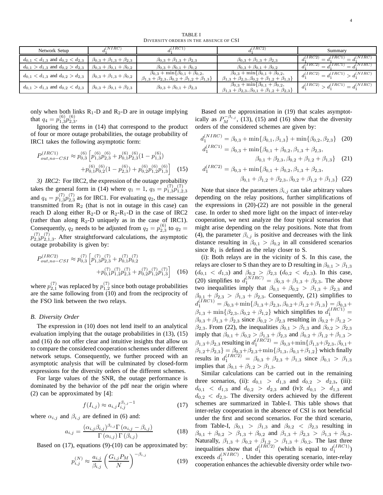| Network Setup                                                                           | $_{J}(NIRC)$                              | $_I (IRC1)$                                                                                                                | I(IRC2)                                                                                                                    | Summary                                                   |
|-----------------------------------------------------------------------------------------|-------------------------------------------|----------------------------------------------------------------------------------------------------------------------------|----------------------------------------------------------------------------------------------------------------------------|-----------------------------------------------------------|
| $d_{0,1} < d_{1,3}$ and $d_{0,2} < d_{2,3}$                                             | $\beta_{0,3} + \beta_{1,3} + \beta_{2,3}$ | $\beta_{0,3} + \beta_{1,3} + \beta_{2,3}$                                                                                  | $\beta_{0,3} + \beta_{1,3} + \beta_{2,3}$                                                                                  | $d_1^{(NIRC)}$<br>I(IRC2)<br>$^{-1} = d_1^{(\bar{I}RC1)}$ |
| $d_{0,1} > d_{1,3}$ and $d_{0,2} > d_{2,3}$                                             | $\beta_{0,3} + \beta_{0,1} + \beta_{0,2}$ | $\beta_{0,3} + \beta_{0,1} + \beta_{0,2}$                                                                                  | $\beta_{0,3} + \beta_{0,1} + \beta_{0,2}$                                                                                  | $d_1^{(IRC2)} = d_1^{(IRC1)} = d_1^{(NIRC)}$              |
| $d_{0,1} < d_{1,3}$ and $d_{0,2} > d_{2,3}$                                             | $\beta_{0,3} + \beta_{1,3} + \beta_{0,2}$ | $\beta_{0,3} + \min\{\beta_{0,1} + \beta_{0,2},\}$<br>$\beta_{1,3} + \beta_{2,3}, \beta_{0,2} + \beta_{1,2} + \beta_{1,3}$ | $\beta_{0,3} + \min\{\beta_{0,1} + \beta_{0,2},\}$<br>$\beta_{1,3} + \beta_{2,3}, \beta_{0,2} + \beta_{1,2} + \beta_{1,3}$ | $d_1^{(IRC2)} = d_1^{(IRC1)} > d_1^{(NIRC)}$              |
| $d_{0,1} > d_{1,3}$ and $d_{0,2} < d_{2,3}$   $\beta_{0,3} + \beta_{0,1} + \beta_{2,3}$ |                                           | $\beta_{0,3} + \beta_{0,1} + \beta_{2,3}$                                                                                  | $\beta_{0,3} + \min\{\beta_{0,1} + \beta_{0,2},\}$<br>$\beta_{1,3} + \beta_{2,3}, \beta_{0,1} + \beta_{1,2} + \beta_{2,3}$ | $d_1^{(IRC2)} > d_1^{(IRC1)} = d_1^{(NIRC)}$              |

only when both links  $R_1$ -D and  $R_2$ -D are in outage implying that  $q_4 = p_{1,3}^{(6)}p_{2,3}^{(6)}$ .

Ignoring the terms in (14) that correspond to the product of four or more outage probabilities, the outage probability of IRC1 takes the following asymptotic form:

$$
P_{out,no-CSI}^{(IRC1)} \approx p_{0,3}^{(6)} \left[ p_{1,3}^{(6)} p_{2,3}^{(6)} + p_{0,1}^{(6)} p_{2,3}^{(6)} (1 - p_{1,3}^{(6)}) \right. \\
\left. + p_{0,1}^{(6)} p_{0,2}^{(6)} (1 - p_{2,3}^{(6)}) + p_{0,2}^{(6)} p_{1,2}^{(6)} p_{1,3}^{(6)} \right] \tag{15}
$$

*3) IRC2:* For IRC2, the expression of the outage probability takes the general form in (14) where  $q_1 = 1$ ,  $q_3 = p_{1,3}^{(7)}p_{1,2,3}^{(7)}$ and  $q_4 = p_{1,3}^{(7)} p_{2,3}^{(7)}$  as for IRC1. For evaluating  $q_2$ , the message transmitted from  $R_2$  (that is not in outage in this case) can reach D along either  $R_2$ -D or  $R_2$ -R<sub>1</sub>-D in the case of IRC2 (rather than along  $R_2$ -D uniquely as in the case of IRC1). Consequently,  $q_2$  needs to be adjusted from  $q_2 = p_{2,3}^{(6)}$  to  $q_2 =$  $p_{2,3}^{(7)}p_{2,1,3}^{(7)}$ . After straightforward calculations, the asymptotic outage probability is given by:

$$
P_{out,no-CSI}^{(IRC2)} \approx p_{0,3}^{(7)} \left[ p_{1,3}^{(7)} p_{2,3}^{(7)} + p_{0,1}^{(7)} p_{0,2}^{(7)} + p_{0,2}^{(7)} p_{1,2}^{(7)} p_{1,3}^{(7)} + p_{0,2}^{(7)} p_{1,2}^{(7)} p_{1,3}^{(7)} \right]
$$
 (16)

where  $p_{2,1}^{(7)}$  was replaced by  $p_{1,2}^{(7)}$  since both outage probabilities are the same following from (10) and from the reciprocity of the FSO link between the two relays.

## *B. Diversity Order*

The expression in (10) does not lend itself to an analytical evaluation implying that the outage probabilities in (13), (15) and (16) do not offer clear and intuitive insights that allow us to compare the considered cooperation schemes under different network setups. Consequently, we further proceed with an asymptotic analysis that will be culminated by closed-form expressions for the diversity orders of the different schemes.

For large values of the SNR, the outage performance is dominated by the behavior of the pdf near the origin where (2) can be approximated by [4]:

$$
f(I_{i,j}) \approx a_{i,j} I_{i,j}^{\beta_{i,j}-1} \tag{17}
$$

where  $\alpha_{i,j}$  and  $\beta_{i,j}$  are defined in (6) and:

$$
a_{i,j} = \frac{(\alpha_{i,j}\beta_{i,j})^{\beta_{i,j}}\Gamma(\alpha_{i,j} - \beta_{i,j})}{\Gamma(\alpha_{i,j})\Gamma(\beta_{i,j})}
$$
(18)

Based on  $(17)$ , equations  $(9)-(10)$  can be approximated by:

$$
p_{i,j}^{(N)} \approx \frac{a_{i,j}}{\beta_{i,j}} \left(\frac{G_{i,j} P_M}{N}\right)^{-\beta_{i,j}}
$$
(19)

Based on the approximation in (19) that scales asymptotically as  $P_M^{-\beta_{i,j}}$ , (13), (15) and (16) show that the diversity orders of the considered schemes are given by:

$$
d_1^{(NIRC)} = \beta_{0,3} + \min{\{\beta_{0,1}, \beta_{1,3}\}} + \min{\{\beta_{0,2}, \beta_{2,3}\}} \quad (20)
$$
  

$$
d_1^{(IRC1)} = \beta_{0,3} + \min{\{\beta_{0,1} + \beta_{0,2}, \beta_{1,3} + \beta_{2,3}, \beta_{0,1} + \beta_{2,3}, \beta_{0,2} + \beta_{1,2} + \beta_{1,3}\}} \quad (21)
$$

$$
d_1^{(IRC2)} = \beta_{0,3} + \min\{\beta_{0,1} + \beta_{0,2}, \beta_{1,3} + \beta_{2,3},
$$

$$
\beta_{0,1} + \beta_{1,2} + \beta_{2,3}, \beta_{0,2} + \beta_{1,2} + \beta_{1,3}\} (22)
$$

Note that since the parameters  $\beta_{i,j}$  can take arbitrary values depending on the relay positions, further simplifications of the expressions in (20)-(22) are not possible in the general case. In order to shed more light on the impact of inter-relay cooperation, we next analyze the four typical scenarios that might arise depending on the relay positions. Note that from (4), the parameter  $\beta_{i,j}$  is positive and decreases with the link distance resulting in  $\beta_{0,1} > \beta_{0,2}$  in all considered scenarios since  $R_1$  is defined as the relay closer to S.

(i): Both relays are in the vicinity of S. In this case, the relays are closer to S than they are to D resulting in  $\beta_{0,1} > \beta_{1,3}$  $(d_{0,1} < d_{1,3})$  and  $\beta_{0,2} > \beta_{2,3}$   $(d_{0,2} < d_{2,3})$ . In this case, (20) simplifies to  $d_1^{(NIRC)} = \beta_{0,3} + \beta_{1,3} + \beta_{2,3}$ . The above two inequalities imply that  $\beta_{0,1} + \beta_{0,2} > \beta_{1,3} + \beta_{2,3}$  and  $\beta_{0,1} + \beta_{2,3} > \beta_{1,3} + \beta_{2,3}$ . Consequently, (21) simplifies to  $d_1^{(IRC1)} = \beta_{0,3} + \min\{\beta_{1,3} + \beta_{2,3}, \beta_{0,2} + \beta_{1,2} + \beta_{1,3}\} = \beta_{0,3} + \beta_{1,3}$  $\beta_{1,3} + \min\{\beta_{2,3}, \beta_{0,2} + \beta_{1,2}\}\$  which simplifies to  $d_1^{(IRC1)} =$  $\beta_{0,3} + \beta_{1,3} + \beta_{2,3}$  since  $\beta_{0,2} > \beta_{2,3}$  resulting in  $\beta_{0,2} + \beta_{1,2}$  $\beta_{2,3}$ . From (22), the inequalities  $\beta_{0,1} > \beta_{1,3}$  and  $\beta_{0,2} > \beta_{2,3}$ imply that  $\beta_{0,1} + \beta_{0,2} > \beta_{1,3} + \beta_{2,3}$  and  $\beta_{0,2} + \beta_{1,2} + \beta_{1,3} >$  $\beta_{1,3}+\beta_{2,3}$  resulting in  $d_1^{(IRC2)} = \beta_{0,3} + \min\{\beta_{1,3}+\beta_{2,3},\beta_{0,1}+\beta_{0,3}+\beta_{0,3}\}$  $\{\beta_{1,2}+\beta_{2,3}\} = \beta_{0,3}+\beta_{2,3}+\min{\{\beta_{1,3}, \beta_{0,1}+\beta_{1,2}\}}$  which finally results in  $d_1^{(IRC2)} = \beta_{0,3} + \beta_{2,3} + \beta_{1,3}$  since  $\beta_{0,1} > \beta_{1,3}$ implies that  $\beta_{0,1} + \beta_{1,2} > \beta_{1,3}$ .

Similar calculations can be carried out in the remaining three scenarios, (ii):  $d_{0,1} > d_{1,3}$  and  $d_{0,2} > d_{2,3}$ , (iii):  $d_{0,1}$  <  $d_{1,3}$  and  $d_{0,2}$  >  $d_{2,3}$  and (iv):  $d_{0,1}$  >  $d_{1,3}$  and  $d_{0,2} < d_{2,3}$ . The diversity orders achieved by the different schemes are summarized in Table-I. This table shows that inter-relay cooperation in the absence of CSI is not beneficial under the first and second scenarios. For the third scenario, from Table-I,  $\beta_{0,1} > \beta_{1,3}$  and  $\beta_{0,2} < \beta_{2,3}$  resulting in  $\beta_{0,1} + \beta_{0,2} > \beta_{1,3} + \beta_{0,2}$  and  $\beta_{1,3} + \beta_{2,3} > \beta_{1,3} + \beta_{0,2}$ . Naturally,  $\beta_{1,3} + \beta_{0,2} + \beta_{1,2} > \beta_{1,3} + \beta_{0,2}$ . The last three inequalities show that  $d_1^{(IRC2)}$  (which is equal to  $d_1^{(IRC1)}$ ) exceeds  $d_1^{(NIRC)}$  . Under this operating scenario, inter-relay cooperation enhances the achievable diversity order while two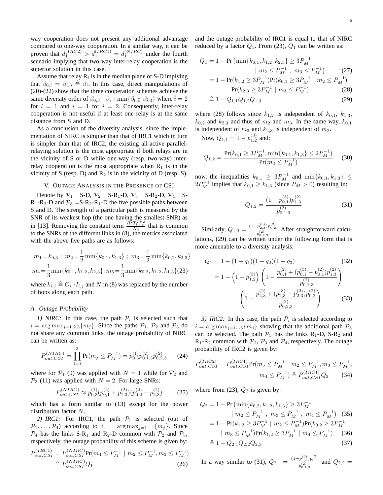way cooperation does not present any additional advantage compared to one-way cooperation. In a similar way, it can be proven that  $d_1^{(IRC2)} > d_1^{(IRC1)} = d_1^{(NIRC)}$  under the fourth scenario implying that two-way inter-relay cooperation is the superior solution in this case.

Assume that relay  $R_i$  is in the median plane of S-D implying that  $\beta_{0,i} = \beta_{i,3} \triangleq \beta_i$ . In this case, direct manipulations of (20)-(22) show that the three cooperation schemes achieve the same diversity order of  $\beta_{0,3} + \beta_i + \min\{\beta_{0,\bar{i}}, \beta_{\bar{i},3}\}\$  where  $\bar{i} = 2$ for  $i = 1$  and  $\overline{i} = 1$  for  $i = 2$ . Consequently, inter-relay cooperation is not useful if at least one relay is at the same distance from S and D.

As a conclusion of the diversity analysis, since the implementation of NIRC is simpler than that of IRC1 which in turn is simpler than that of IRC2, the existing all-active parallelrelaying solution is the most appropriate if both relays are in the vicinity of S or D while one-way (resp. two-way) interrelay cooperation is the most appropriate when  $R_1$  is in the vicinity of S (resp. D) and  $R_2$  is in the vicinity of D (resp. S).

# V. OUTAGE ANALYSIS IN THE PRESENCE OF CSI

Denote by  $P_1 = S-D$ ,  $P_2 = S-R_1-D$ ,  $P_3 = S-R_2-D$ ,  $P_4 = S-T_3$  $R_1-R_2-D$  and  $P_5 = S-R_2-R_1-D$  the five possible paths between S and D. The strength of a particular path is measured by the SNR of its weakest hop (the one having the smallest SNR) as in [13]. Removing the constant term  $\frac{R^2 T_b^2 P_t^2}{N_0}$  that is common to the SNRs of the different links in (8), the metrics associated with the above five paths are as follows:

$$
m_1 = k_{0,3} \; ; \; m_2 = \frac{1}{2} \min\{k_{0,1}, k_{1,3}\} \; ; \; m_3 = \frac{1}{2} \min\{k_{0,2}, k_{2,3}\}
$$

$$
m_4 = \frac{1}{3} \min\{k_{0,1}, k_{1,2}, k_{2,3}\}; m_5 = \frac{1}{3} \min\{k_{0,2}, k_{1,2}, k_{1,3}\} (23)
$$

where  $k_{i,j} \triangleq G_{i,j} I_{i,j}$  and N in (8) was replaced by the number of hops along each path.

## *A. Outage Probability*

1) NIRC: In this case, the path  $P_i$  is selected such that  $i = \arg \max_{j=1,2,3} \{m_j\}$ . Since the paths  $\mathcal{P}_1$ ,  $\mathcal{P}_2$  and  $\mathcal{P}_3$  do not share any common links, the outage probability of NIRC can be written as:

$$
P_{out,CSI}^{(NIRC)} = \prod_{j=1}^{3} \Pr(m_j \le P_M^{-1}) = p_{0,3}^{(1)} p_{0,1,3}^{(2)} p_{0,2,3}^{(2)} \tag{24}
$$

where for  $P_1$  (9) was applied with  $N = 1$  while for  $P_2$  and  $P_3$  (11) was applied with  $N = 2$ . For large SNRs:

$$
P_{out,CSI}^{(NIRC)} \approx p_{0,3}^{(1)}(p_{0,1}^{(2)} + p_{1,3}^{(2)})(p_{0,2}^{(2)} + p_{2,3}^{(2)})
$$
 (25)

which has a form similar to (13) except for the power distribution factor N.

2) IRC1: For IRC1, the path  $P_i$  is selected (out of  $\mathcal{P}_1, \ldots, \mathcal{P}_4$  according to  $i = \arg \max_{i=1 \cdots 4} \{m_i\}$ . Since  $\mathcal{P}_4$  has the links S-R<sub>1</sub> and R<sub>2</sub>-D common with  $\mathcal{P}_2$  and  $\mathcal{P}_3$ , respectively, the outage probability of this scheme is given by:  $(IDC1)$  $(NIDC)$ 

$$
P_{out,CSI}^{(IRC1)} = P_{out,CSI}^{(NIRC)} Pr(m_4 \le P_M^{-1} \mid m_2 \le P_M^{-1}, m_3 \le P_M^{-1})
$$
  

$$
\triangleq P_{out,CSI}^{(NIRC)} Q_1
$$
 (26)

and the outage probability of IRC1 is equal to that of NIRC reduced by a factor  $Q_1$ . From (23),  $Q_1$  can be written as:

$$
Q_1 = 1 - \Pr\left(\min\{k_{0,1}, k_{1,2}, k_{2,3}\} \ge 3P_M^{-1} \mid m_2 \le P_M^{-1}, m_3 \le P_M^{-1}\right)
$$
\n
$$
= 1 - \Pr(k_{1,2} \ge 3P_M^{-1})\Pr(k_{0,1} \ge 3P_M^{-1} \mid m_2 \le P_M^{-1})
$$
\n
$$
\Pr(k_{2,3} \ge 3P_M^{-1} \mid m_3 \le P_M^{-1})
$$
\n(28)

$$
\stackrel{\Delta}{=} 1 - Q_{1,1} Q_{1,2} Q_{1,3} \tag{29}
$$

where (28) follows since  $k_{1,2}$  is independent of  $k_{0,1}$ ,  $k_{1,3}$ ,  $k_{0,2}$  and  $k_{2,3}$  and thus of  $m_2$  and  $m_3$ . In the same way,  $k_{0,1}$ is independent of  $m_3$  and  $k_{2,3}$  is independent of  $m_2$ .

Now,  $Q_{1,1} = 1 - p_{1,2}^{(3)}$  and:

$$
Q_{1,2} = \frac{\Pr(k_{0,1} \ge 3P_M^{-1}, \min\{k_{0,1}, k_{1,3}\} \le 2P_M^{-1})}{\Pr(m_2 \le P_M^{-1})}
$$
 (30)

now, the inequalities  $k_{0,1} \geq 3P_M^{-1}$  and  $\min\{k_{0,1}, k_{1,3}\} \leq$  $2P_M^{-1}$  implies that  $k_{0,1} \ge k_{1,3}$  (since  $P_M > 0$ ) resulting in:

$$
Q_{1,2} = \frac{(1 - p_{0,1}^{(3)})p_{1,3}^{(2)}}{p_{0,1,3}^{(2)}}
$$
(31)

Similarly,  $Q_{1,3} = \frac{(1-p_{2,3}^{(3)})p_{0,2}^{(2)}}{q_{3,3}^{(2)}}$  $\frac{\mu_{2,3} p_{0,2}}{p_{0,2,3}^{(2)}}$ . After straightforward calculations, (29) can be written under the following form that is more amenable to a diversity analysis:

$$
Q_1 = 1 - (1 - q_1)(1 - q_2)(1 - q_3)
$$
(32)  
= 1 - (1 - p<sub>1,2</sub><sup>(3)</sup>)  $\left(1 - \frac{p_{0,1}^{(2)} + (p_{0,1}^{(3)} - p_{0,1}^{(2)})p_{1,3}^{(2)}}{p_{0,1,3}^{(2)}}\right)$   

$$
\left(1 - \frac{p_{2,3}^{(2)} + (p_{2,3}^{(3)} - p_{2,3}^{(2)})p_{0,2}^{(2)}}{p_{0,2,3}^{(2)}}\right)
$$
(33)

*3) IRC2*: In this case, the path  $P_i$  is selected according to  $i = \arg \max_{j=1...5} \{m_j\}$  showing that the additional path  $\mathcal{P}_5$ can be selected. The path  $P_5$  has the links R<sub>1</sub>-D, S-R<sub>2</sub> and  $R_1-R_2$  common with  $P_2$ ,  $P_3$  and  $P_4$ , respectively. The outage probability of IRC2 is given by:

$$
P_{out,CSI}^{(IRC2)} = P_{out,CSI}^{(IRC1)} Pr(m_5 \le P_M^{-1} \mid m_2 \le P_M^{-1}, m_3 \le P_M^{-1},
$$

$$
m_4 \le P_M^{-1}) \triangleq P_{out,CSI}^{(IRC1)} Q_2 \tag{34}
$$

where from (23),  $Q_2$  is given by:

$$
Q_2 = 1 - \Pr\left(\min\{k_{0,2}, k_{1,2}, k_{1,3}\} \ge 3P_M^{-1}\right)
$$
  
\n
$$
| m_2 \le P_M^{-1}, m_3 \le P_M^{-1}, m_4 \le P_M^{-1} \quad (35)
$$
  
\n
$$
= 1 - \Pr(k_{1,3} \ge 3P_M^{-1} | m_2 \le P_M^{-1}) \Pr(k_{0,2} \ge 3P_M^{-1}
$$
  
\n
$$
| m_3 \le P_M^{-1}) \Pr(k_{1,2} \ge 3P_M^{-1} | m_4 \le P_M^{-1}) \quad (36)
$$
  
\n
$$
\triangleq 1 - Q_{2,1} Q_{2,2} Q_{2,3} \quad (37)
$$

In a way similar to (31),  $Q_{2,1} = \frac{(1-p_{1,3}^{(3)})p_{0,1}^{(2)}}{n^{(2)}}$  $\frac{p_{1,3}p_{0,1}}{p_{0,1,3}^{(2)}}$  and  $Q_{2,2}$  =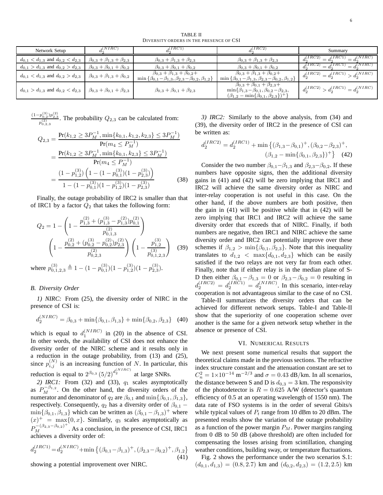TABLE II DIVERSITY ORDERS IN THE PRESENCE OF CSI

| Network Setup                                                                           | $d_2^{(NIRC)}$                            | I(IRC1)                                                                                                                      | (IRC2)                                                                                                                                                            | Summary                                                     |
|-----------------------------------------------------------------------------------------|-------------------------------------------|------------------------------------------------------------------------------------------------------------------------------|-------------------------------------------------------------------------------------------------------------------------------------------------------------------|-------------------------------------------------------------|
| $d_{0,1} < d_{1,3}$ and $d_{0,2} < d_{2,3}$                                             | $\beta_{0,3} + \beta_{1,3} + \beta_{2,3}$ | $\beta_{0,3} + \beta_{1,3} + \beta_{2,3}$                                                                                    | $\beta_{0,3} + \beta_{1,3} + \beta_{2,3}$                                                                                                                         | J(NIRC)<br>$\overline{d_2^{(IRC2)}}$<br>$= d_2^{(IRC1)}$    |
| $d_{0,1} > d_{1,3}$ and $d_{0,2} > d_{2,3}$                                             | $\beta_{0,3} + \beta_{0,1} + \beta_{0,2}$ | $\beta_{0,3} + \beta_{0,1} + \beta_{0,2}$                                                                                    | $\beta_{0,3} + \beta_{0,1} + \beta_{0,2}$                                                                                                                         | $= d_0^{(NIRC)}$<br>$d_2^{(IRC2)}$<br>$-d_0^{(IRC)}$<br>$=$ |
| $d_{0,1} < d_{1,3}$ and $d_{0,2} > d_{2,3}$                                             | $\beta_{0,3} + \beta_{1,3} + \beta_{0,2}$ | $\beta_{0,3} + \beta_{1,3} + \beta_{0,2} +$<br>$\min \{\beta_{0,1} - \beta_{1,3}, \beta_{2,3} - \beta_{0,2}, \beta_{1,2}\}\$ | $\beta_{0,3} + \beta_{1,3} + \beta_{0,2} +$<br>$\min \{\beta_{0,1} - \beta_{1,3}, \beta_{2,3} - \beta_{0,2}, \beta_{1,2}\}\$                                      | $d_2^{(IRC2)} = d_2^{(IRC1)} > d_2^{(NIRC)}$                |
| $d_{0,1} > d_{1,3}$ and $d_{0,2} < d_{2,3}$   $\beta_{0,3} + \beta_{0,1} + \beta_{2,3}$ |                                           | $\beta_{0,3} + \beta_{0,1} + \beta_{2,3}$                                                                                    | $\beta_{0,3} + \beta_{0,1} + \beta_{2,3} +$<br>$\min\{\beta_{1,3}-\beta_{0,1},\beta_{0,2}-\beta_{2,3},\}$<br>$(\beta_{1,2} - \min\{\beta_{0,1}, \beta_{2,3}\})^+$ | $d_2^{(IRC2)} > d_2^{(IRC1)} = d_2^{(NIRC)}$                |

 $\frac{(1-p_{0,2}^{(3)})p_{2,3}^{(2)}}{p_{3,3}^{(2)}}$  $\frac{p_{0,2}p_{2,3}}{p_{0,2,3}^{(2)}}$ . The probability  $Q_{2,3}$  can be calculated from:

$$
Q_{2,3} = \frac{\Pr(k_{1,2} \ge 3P_M^{-1}, \min\{k_{0,1}, k_{1,2}, k_{2,3}\} \le 3P_M^{-1})}{\Pr(m_4 \le P_M^{-1})}
$$
  
= 
$$
\frac{\Pr(k_{1,2} \ge 3P_M^{-1}, \min\{k_{0,1}, k_{2,3}\} \le 3P_M^{-1})}{\Pr(m_4 \le P_M^{-1})}
$$
  
= 
$$
\frac{(1 - p_{1,2}^{(3)}) \left(1 - (1 - p_{0,1}^{(3)}) (1 - p_{2,3}^{(3)})\right)}{1 - (1 - p_{0,1}^{(3)}) (1 - p_{1,2}^{(3)}) (1 - p_{2,3}^{(3)})}
$$
(38)

Finally, the outage probability of IRC2 is smaller than that of IRC1 by a factor  $Q_2$  that takes the following form:

$$
Q_2 = 1 - \left(1 - \frac{p_{1,3}^{(2)} + (p_{1,3}^{(3)} - p_{1,3}^{(2)})p_{0,1}^{(2)}}{p_{0,1,3}^{(2)}}\right)
$$

$$
\left(1 - \frac{p_{0,2}^{(2)} + (p_{0,2}^{(3)} - p_{0,2}^{(2)})p_{2,3}^{(2)}}{p_{0,2,3}^{(2)}}\right)\left(1 - \frac{p_{1,2}^{(3)}}{p_{0,1,2,3}^{(3)}}\right)
$$
(39)

where  $p_{0,1,2,3}^{(3)} \triangleq 1 - (1 - p_{0,1}^{(3)})(1 - p_{1,2}^{(3)})(1 - p_{2,3}^{(3)}).$ 

# *B. Diversity Order*

*1) NIRC:* From (25), the diversity order of NIRC in the presence of CSI is:

$$
d_2^{(NIRC)} = \beta_{0,3} + \min\{\beta_{0,1}, \beta_{1,3}\} + \min\{\beta_{0,2}, \beta_{2,3}\} \quad (40)
$$

which is equal to  $d_1^{(NIRC)}$  in (20) in the absence of CSI. In other words, the availability of CSI does not enhance the diversity order of the NIRC scheme and it results only in a reduction in the outage probability, from (13) and (25), since  $p_{i,j}^{(N)}$  is an increasing function of N. In particular, this reduction is equal to  $2^{\beta_{0,3}} (5/2)^{d_2^{(NIRC)}}$  at large SNRs.

2) *IRC1*: From (32) and (33),  $q_1$  scales asymptotically as  $P_M^{-\beta_{1,2}}$ . On the other hand, the diversity orders of the numerator and denominator of  $q_2$  are  $\beta_{0,1}$  and  $\min\{\beta_{0,1}, \beta_{1,3}\},$ respectively. Consequently,  $q_2$  has a diversity order of  $\beta_{0,1}$  –  $\min\{\beta_{0,1}, \beta_{1,3}\}\$  which can be written as  $(\beta_{0,1} - \beta_{1,3})^+$  where  $(x)^{+}$  = max $\{0, x\}$ . Similarly,  $q_3$  scales asymptotically as  $P_M^{-(\beta_{2,3}-\beta_{0,2})^+}$ . As a conclusion, in the presence of CSI, IRC1 achieves a diversity order of:

$$
d_2^{(IRC1)} = d_2^{(NIRC)} + \min\left\{ (\beta_{0,1} - \beta_{1,3})^+, (\beta_{2,3} - \beta_{0,2})^+, \beta_{1,2} \right\}
$$
\n(41)

showing a potential improvement over NIRC.

*3) IRC2:* Similarly to the above analysis, from (34) and (39), the diversity order of IRC2 in the presence of CSI can be written as:

$$
d_2^{(IRC2)} = d_2^{(IRC1)} + \min\left\{ (\beta_{1,3} - \beta_{0,1})^+, (\beta_{0,2} - \beta_{2,3})^+, \right.\newline (\beta_{1,2} - \min\{\beta_{0,1}, \beta_{2,3}\})^+ \right\} \quad (42)
$$

Consider the two number  $\beta_{0,1} - \beta_{1,3}$  and  $\beta_{2,3} - \beta_{0,2}$ . If these numbers have opposite signs, then the additional diversity gains in (41) and (42) will be zero implying that IRC1 and IRC2 will achieve the same diversity order as NIRC and inter-relay cooperation is not useful in this case. On the other hand, if the above numbers are both positive, then the gain in (41) will be positive while that in (42) will be zero implying that IRC1 and IRC2 will achieve the same diversity order that exceeds that of NIRC. Finally, if both numbers are negative, then IRC1 and NIRC achieve the same diversity order and IRC2 can potentially improve over these schemes if  $\beta_{1,2} > \min\{\beta_{0,1}, \beta_{2,3}\}\.$  Note that this inequality translates to  $d_{1,2} < \max\{d_{0,1}, d_{2,3}\}\$  which can be easily satisfied if the two relays are not very far from each other. Finally, note that if either relay is in the median plane of S-D then either  $\beta_{0,1} - \beta_{1,3} = 0$  or  $\beta_{2,3} - \beta_{0,2} = 0$  resulting in  $d_2^{(IRC2)} = d_2^{(IRC1)} = d_2^{(NIRC)}$ . In this scenario, inter-relay cooperation is not advantageous similar to the case of no CSI.

Table-II summarizes the diversity orders that can be achieved for different network setups. Table-I and Table-II show that the superiority of one cooperation scheme over another is the same for a given network setup whether in the absence or presence of CSI.

# VI. NUMERICAL RESULTS

We next present some numerical results that support the theoretical claims made in the previous sections. The refractive index structure constant and the attenuation constant are set to  $C_n^2 = 1 \times 10^{-14} \text{ m}^{-2/3}$  and  $\sigma = 0.43 \text{ dB/km}$ . In all scenarios, the distance between S and D is  $d_{0,3} = 3$  km. The responsivity of the photodetector is  $R = 0.625$  A/W (detector's quantum efficiency of 0.5 at an operating wavelength of 1550 nm). The data rate of FSO systems is in the order of several Gbits/s while typical values of  $P_t$  range from 10 dBm to 20 dBm. The presented results show the variation of the outage probability as a function of the power margin  $P_M$ . Power margins ranging from 0 dB to 50 dB (above threshold) are often included for compensating the losses arising from scintillation, changing weather conditions, building sway, or temperature fluctuations.

Fig. 2 shows the performance under the two scenarios S.1:  $(d_{0,1}, d_{1,3}) = (0.8, 2.7)$  km and  $(d_{0,2}, d_{2,3}) = (1.2, 2.5)$  km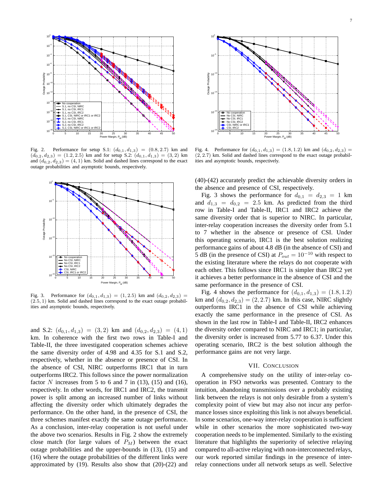

Fig. 2. Performance for setup S.1:  $(d_{0,1}, d_{1,3}) = (0.8, 2.7)$  km and  $(d_{0,2}, d_{2,3}) = (1.2, 2.5)$  km and for setup S.2:  $(d_{0,1}, d_{1,3}) = (3, 2)$  km and  $(d_{0,2}, d_{2,3}) = (4, 1)$  km. Solid and dashed lines correspond to the exact outage probabilities and asymptotic bounds, respectively.



Fig. 3. Performance for  $(d_{0,1}, d_{1,3}) = (1, 2.5)$  km and  $(d_{0,2}, d_{2,3}) =$ (2.5, 1) km. Solid and dashed lines correspond to the exact outage probabilities and asymptotic bounds, respectively.

and S.2:  $(d_{0,1}, d_{1,3}) = (3, 2)$  km and  $(d_{0,2}, d_{2,3}) = (4, 1)$ km. In coherence with the first two rows in Table-I and Table-II, the three investigated cooperation schemes achieve the same diversity order of 4.98 and 4.35 for S.1 and S.2, respectively, whether in the absence or presence of CSI. In the absence of CSI, NIRC outperforms IRC1 that in turn outperforms IRC2. This follows since the power normalization factor N increases from 5 to 6 and 7 in (13), (15) and (16), respectively. In other words, for IRC1 and IRC2, the transmit power is split among an increased number of links without affecting the diversity order which ultimately degrades the performance. On the other hand, in the presence of CSI, the three schemes manifest exactly the same outage performance. As a conclusion, inter-relay cooperation is not useful under the above two scenarios. Results in Fig. 2 show the extremely close match (for large values of  $P_M$ ) between the exact outage probabilities and the upper-bounds in (13), (15) and (16) where the outage probabilities of the different links were approximated by (19). Results also show that (20)-(22) and



Fig. 4. Performance for  $(d_{0,1}, d_{1,3}) = (1.8, 1.2)$  km and  $(d_{0,2}, d_{2,3}) =$ (2, 2.7) km. Solid and dashed lines correspond to the exact outage probabilities and asymptotic bounds, respectively.

(40)-(42) accurately predict the achievable diversity orders in the absence and presence of CSI, respectively.

Fig. 3 shows the performance for  $d_{0,1} = d_{2,3} = 1$  km and  $d_{1,3} = d_{0,2} = 2.5$  km. As predicted from the third row in Table-I and Table-II, IRC1 and IRC2 achieve the same diversity order that is superior to NIRC. In particular, inter-relay cooperation increases the diversity order from 5.1 to 7 whether in the absence or presence of CSI. Under this operating scenario, IRC1 is the best solution realizing performance gains of about 4.8 dB (in the absence of CSI) and 5 dB (in the presence of CSI) at  $P_{out} = 10^{-10}$  with respect to the existing literature where the relays do not cooperate with each other. This follows since IRC1 is simpler than IRC2 yet it achieves a better performance in the absence of CSI and the same performance in the presence of CSI.

Fig. 4 shows the performance for  $(d_{0,1}, d_{1,3}) = (1.8, 1.2)$ km and  $(d_{0,2}, d_{2,3}) = (2, 2.7)$  km. In this case, NIRC slightly outperforms IRC1 in the absence of CSI while achieving exactly the same performance in the presence of CSI. As shown in the last row in Table-I and Table-II, IRC2 enhances the diversity order compared to NIRC and IRC1; in particular, the diversity order is increased from 5.77 to 6.37. Under this operating scenario, IRC2 is the best solution although the performance gains are not very large.

# VII. CONCLUSION

A comprehensive study on the utility of inter-relay cooperation in FSO networks was presented. Contrary to the intuition, abandoning transmissions over a probably existing link between the relays is not only desirable from a system's complexity point of view but may also not incur any performance losses since exploiting this link is not always beneficial. In some scenarios, one-way inter-relay cooperation is sufficient while in other scenarios the more sophisticated two-way cooperation needs to be implemented. Similarly to the existing literature that highlights the superiority of selective relaying compared to all-active relaying with non-interconnected relays, our work reported similar findings in the presence of interrelay connections under all network setups as well. Selective